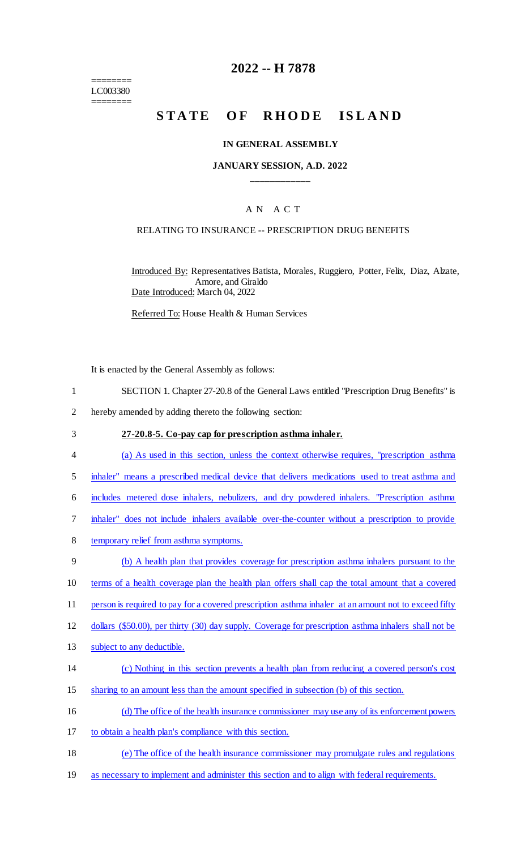======== LC003380 ========

## **2022 -- H 7878**

# STATE OF RHODE ISLAND

#### **IN GENERAL ASSEMBLY**

## **JANUARY SESSION, A.D. 2022 \_\_\_\_\_\_\_\_\_\_\_\_**

## A N A C T

#### RELATING TO INSURANCE -- PRESCRIPTION DRUG BENEFITS

Introduced By: Representatives Batista, Morales, Ruggiero, Potter, Felix, Diaz, Alzate, Amore, and Giraldo Date Introduced: March 04, 2022

Referred To: House Health & Human Services

It is enacted by the General Assembly as follows:

- 1 SECTION 1. Chapter 27-20.8 of the General Laws entitled "Prescription Drug Benefits" is
- 2 hereby amended by adding thereto the following section:
- 3 **27-20.8-5. Co-pay cap for prescription asthma inhaler.**  4 (a) As used in this section, unless the context otherwise requires, "prescription asthma 5 inhaler" means a prescribed medical device that delivers medications used to treat asthma and 6 includes metered dose inhalers, nebulizers, and dry powdered inhalers. "Prescription asthma 7 inhaler" does not include inhalers available over-the-counter without a prescription to provide 8 temporary relief from asthma symptoms. 9 (b) A health plan that provides coverage for prescription asthma inhalers pursuant to the 10 terms of a health coverage plan the health plan offers shall cap the total amount that a covered
- 11 person is required to pay for a covered prescription asthma inhaler at an amount not to exceed fifty
- 12 dollars (\$50.00), per thirty (30) day supply. Coverage for prescription asthma inhalers shall not be
- 13 subject to any deductible.
- 14 (c) Nothing in this section prevents a health plan from reducing a covered person's cost
- 15 sharing to an amount less than the amount specified in subsection (b) of this section.
- 16 (d) The office of the health insurance commissioner may use any of its enforcement powers
- 17 to obtain a health plan's compliance with this section.
- 18 (e) The office of the health insurance commissioner may promulgate rules and regulations
- 19 as necessary to implement and administer this section and to align with federal requirements.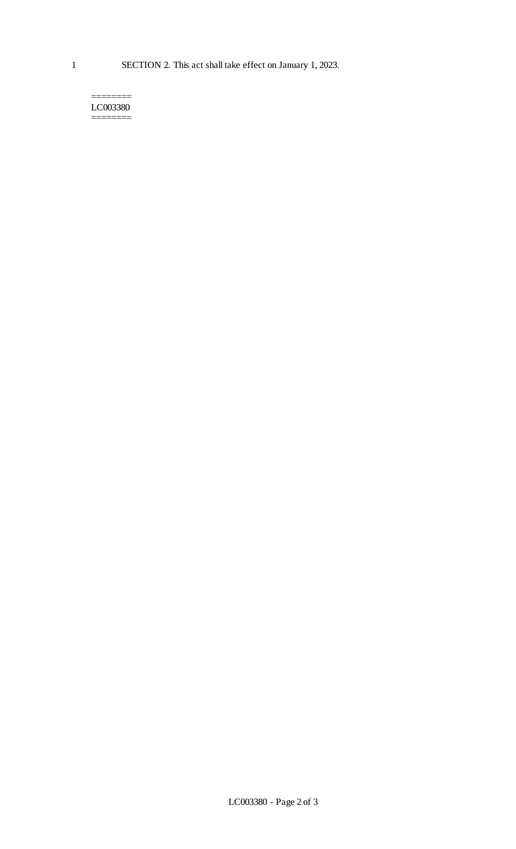======== LC003380 ========